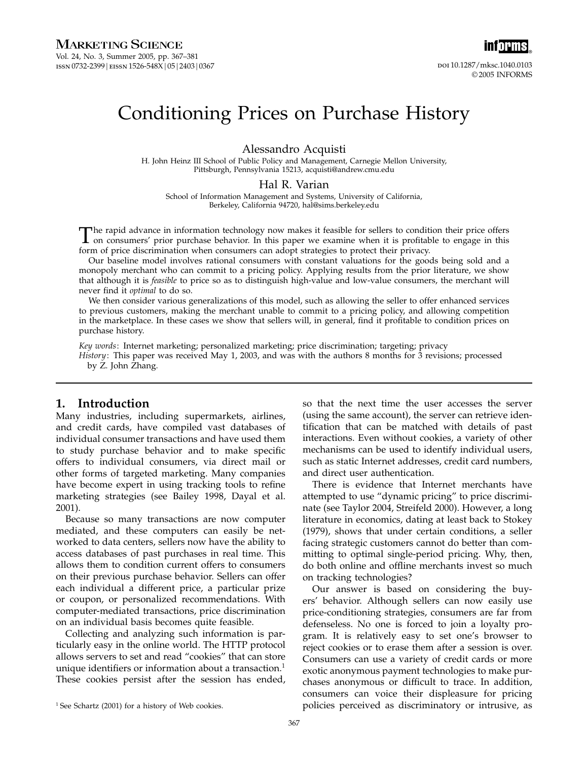

# Conditioning Prices on Purchase History

Alessandro Acquisti

H. John Heinz III School of Public Policy and Management, Carnegie Mellon University, Pittsburgh, Pennsylvania 15213, acquisti@andrew.cmu.edu

Hal R. Varian

School of Information Management and Systems, University of California, Berkeley, California 94720, hal@sims.berkeley.edu

The rapid advance in information technology now makes it feasible for sellers to condition their price offers<br>on consumers' prior purchase behavior. In this paper we examine when it is profitable to engage in this<br>fears of form of price discrimination when consumers can adopt strategies to protect their privacy.

Our baseline model involves rational consumers with constant valuations for the goods being sold and a monopoly merchant who can commit to a pricing policy. Applying results from the prior literature, we show that although it is *feasible* to price so as to distinguish high-value and low-value consumers, the merchant will never find it optimal to do so.

We then consider various generalizations of this model, such as allowing the seller to offer enhanced services to previous customers, making the merchant unable to commit to a pricing policy, and allowing competition in the marketplace. In these cases we show that sellers will, in general, find it profitable to condition prices on purchase history.

Key words: Internet marketing; personalized marketing; price discrimination; targeting; privacy History: This paper was received May 1, 2003, and was with the authors 8 months for 3 revisions; processed by Z. John Zhang.

## 1. Introduction

Many industries, including supermarkets, airlines, and credit cards, have compiled vast databases of individual consumer transactions and have used them to study purchase behavior and to make specific offers to individual consumers, via direct mail or other forms of targeted marketing. Many companies have become expert in using tracking tools to refine marketing strategies (see Bailey 1998, Dayal et al. 2001).

Because so many transactions are now computer mediated, and these computers can easily be networked to data centers, sellers now have the ability to access databases of past purchases in real time. This allows them to condition current offers to consumers on their previous purchase behavior. Sellers can offer each individual a different price, a particular prize or coupon, or personalized recommendations. With computer-mediated transactions, price discrimination on an individual basis becomes quite feasible.

Collecting and analyzing such information is particularly easy in the online world. The HTTP protocol allows servers to set and read "cookies" that can store unique identifiers or information about a transaction. $<sup>1</sup>$ </sup> These cookies persist after the session has ended,

so that the next time the user accesses the server (using the same account), the server can retrieve identification that can be matched with details of past interactions. Even without cookies, a variety of other mechanisms can be used to identify individual users, such as static Internet addresses, credit card numbers, and direct user authentication.

There is evidence that Internet merchants have attempted to use "dynamic pricing" to price discriminate (see Taylor 2004, Streifeld 2000). However, a long literature in economics, dating at least back to Stokey (1979), shows that under certain conditions, a seller facing strategic customers cannot do better than committing to optimal single-period pricing. Why, then, do both online and offline merchants invest so much on tracking technologies?

Our answer is based on considering the buyers' behavior. Although sellers can now easily use price-conditioning strategies, consumers are far from defenseless. No one is forced to join a loyalty program. It is relatively easy to set one's browser to reject cookies or to erase them after a session is over. Consumers can use a variety of credit cards or more exotic anonymous payment technologies to make purchases anonymous or difficult to trace. In addition, consumers can voice their displeasure for pricing policies perceived as discriminatory or intrusive, as

 $1$  See Schartz (2001) for a history of Web cookies.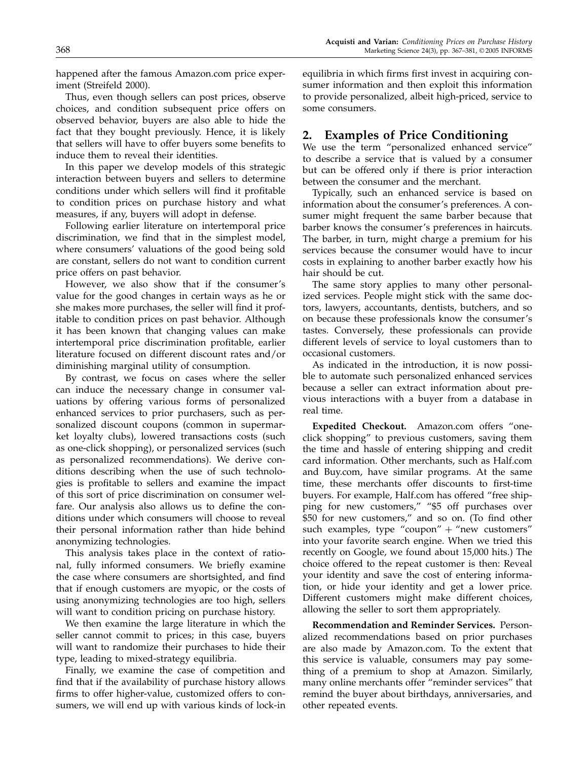happened after the famous Amazon.com price experiment (Streifeld 2000).

Thus, even though sellers can post prices, observe choices, and condition subsequent price offers on observed behavior, buyers are also able to hide the fact that they bought previously. Hence, it is likely that sellers will have to offer buyers some benefits to induce them to reveal their identities.

In this paper we develop models of this strategic interaction between buyers and sellers to determine conditions under which sellers will find it profitable to condition prices on purchase history and what measures, if any, buyers will adopt in defense.

Following earlier literature on intertemporal price discrimination, we find that in the simplest model, where consumers' valuations of the good being sold are constant, sellers do not want to condition current price offers on past behavior.

However, we also show that if the consumer's value for the good changes in certain ways as he or she makes more purchases, the seller will find it profitable to condition prices on past behavior. Although it has been known that changing values can make intertemporal price discrimination profitable, earlier literature focused on different discount rates and/or diminishing marginal utility of consumption.

By contrast, we focus on cases where the seller can induce the necessary change in consumer valuations by offering various forms of personalized enhanced services to prior purchasers, such as personalized discount coupons (common in supermarket loyalty clubs), lowered transactions costs (such as one-click shopping), or personalized services (such as personalized recommendations). We derive conditions describing when the use of such technologies is profitable to sellers and examine the impact of this sort of price discrimination on consumer welfare. Our analysis also allows us to define the conditions under which consumers will choose to reveal their personal information rather than hide behind anonymizing technologies.

This analysis takes place in the context of rational, fully informed consumers. We briefly examine the case where consumers are shortsighted, and find that if enough customers are myopic, or the costs of using anonymizing technologies are too high, sellers will want to condition pricing on purchase history.

We then examine the large literature in which the seller cannot commit to prices; in this case, buyers will want to randomize their purchases to hide their type, leading to mixed-strategy equilibria.

Finally, we examine the case of competition and find that if the availability of purchase history allows firms to offer higher-value, customized offers to consumers, we will end up with various kinds of lock-in

equilibria in which firms first invest in acquiring consumer information and then exploit this information to provide personalized, albeit high-priced, service to some consumers.

# 2. Examples of Price Conditioning

We use the term "personalized enhanced service" to describe a service that is valued by a consumer but can be offered only if there is prior interaction between the consumer and the merchant.

Typically, such an enhanced service is based on information about the consumer's preferences. A consumer might frequent the same barber because that barber knows the consumer's preferences in haircuts. The barber, in turn, might charge a premium for his services because the consumer would have to incur costs in explaining to another barber exactly how his hair should be cut.

The same story applies to many other personalized services. People might stick with the same doctors, lawyers, accountants, dentists, butchers, and so on because these professionals know the consumer's tastes. Conversely, these professionals can provide different levels of service to loyal customers than to occasional customers.

As indicated in the introduction, it is now possible to automate such personalized enhanced services because a seller can extract information about previous interactions with a buyer from a database in real time.

Expedited Checkout. Amazon.com offers "oneclick shopping" to previous customers, saving them the time and hassle of entering shipping and credit card information. Other merchants, such as Half.com and Buy.com, have similar programs. At the same time, these merchants offer discounts to first-time buyers. For example, Half.com has offered "free shipping for new customers," "\$5 off purchases over \$50 for new customers," and so on. (To find other such examples, type "coupon" + "new customers" into your favorite search engine. When we tried this recently on Google, we found about 15,000 hits.) The choice offered to the repeat customer is then: Reveal your identity and save the cost of entering information, or hide your identity and get a lower price. Different customers might make different choices, allowing the seller to sort them appropriately.

Recommendation and Reminder Services. Personalized recommendations based on prior purchases are also made by Amazon.com. To the extent that this service is valuable, consumers may pay something of a premium to shop at Amazon. Similarly, many online merchants offer "reminder services" that remind the buyer about birthdays, anniversaries, and other repeated events.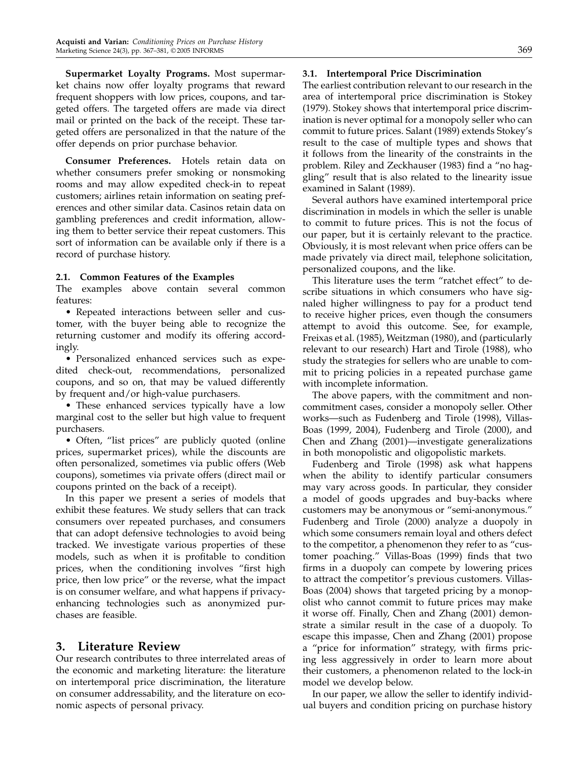Supermarket Loyalty Programs. Most supermarket chains now offer loyalty programs that reward frequent shoppers with low prices, coupons, and targeted offers. The targeted offers are made via direct mail or printed on the back of the receipt. These targeted offers are personalized in that the nature of the offer depends on prior purchase behavior.

Consumer Preferences. Hotels retain data on whether consumers prefer smoking or nonsmoking rooms and may allow expedited check-in to repeat customers; airlines retain information on seating preferences and other similar data. Casinos retain data on gambling preferences and credit information, allowing them to better service their repeat customers. This sort of information can be available only if there is a record of purchase history.

## 2.1. Common Features of the Examples

The examples above contain several common features:

• Repeated interactions between seller and customer, with the buyer being able to recognize the returning customer and modify its offering accordingly.

• Personalized enhanced services such as expedited check-out, recommendations, personalized coupons, and so on, that may be valued differently by frequent and/or high-value purchasers.

• These enhanced services typically have a low marginal cost to the seller but high value to frequent purchasers.

• Often, "list prices" are publicly quoted (online prices, supermarket prices), while the discounts are often personalized, sometimes via public offers (Web coupons), sometimes via private offers (direct mail or coupons printed on the back of a receipt).

In this paper we present a series of models that exhibit these features. We study sellers that can track consumers over repeated purchases, and consumers that can adopt defensive technologies to avoid being tracked. We investigate various properties of these models, such as when it is profitable to condition prices, when the conditioning involves "first high price, then low price" or the reverse, what the impact is on consumer welfare, and what happens if privacyenhancing technologies such as anonymized purchases are feasible.

# 3. Literature Review

Our research contributes to three interrelated areas of the economic and marketing literature: the literature on intertemporal price discrimination, the literature on consumer addressability, and the literature on economic aspects of personal privacy.

#### 3.1. Intertemporal Price Discrimination

The earliest contribution relevant to our research in the area of intertemporal price discrimination is Stokey (1979). Stokey shows that intertemporal price discrimination is never optimal for a monopoly seller who can commit to future prices. Salant (1989) extends Stokey's result to the case of multiple types and shows that it follows from the linearity of the constraints in the problem. Riley and Zeckhauser (1983) find a "no haggling" result that is also related to the linearity issue examined in Salant (1989).

Several authors have examined intertemporal price discrimination in models in which the seller is unable to commit to future prices. This is not the focus of our paper, but it is certainly relevant to the practice. Obviously, it is most relevant when price offers can be made privately via direct mail, telephone solicitation, personalized coupons, and the like.

This literature uses the term "ratchet effect" to describe situations in which consumers who have signaled higher willingness to pay for a product tend to receive higher prices, even though the consumers attempt to avoid this outcome. See, for example, Freixas et al. (1985), Weitzman (1980), and (particularly relevant to our research) Hart and Tirole (1988), who study the strategies for sellers who are unable to commit to pricing policies in a repeated purchase game with incomplete information.

The above papers, with the commitment and noncommitment cases, consider a monopoly seller. Other works—such as Fudenberg and Tirole (1998), Villas-Boas (1999, 2004), Fudenberg and Tirole (2000), and Chen and Zhang (2001)—investigate generalizations in both monopolistic and oligopolistic markets.

Fudenberg and Tirole (1998) ask what happens when the ability to identify particular consumers may vary across goods. In particular, they consider a model of goods upgrades and buy-backs where customers may be anonymous or "semi-anonymous." Fudenberg and Tirole (2000) analyze a duopoly in which some consumers remain loyal and others defect to the competitor, a phenomenon they refer to as "customer poaching." Villas-Boas (1999) finds that two firms in a duopoly can compete by lowering prices to attract the competitor's previous customers. Villas-Boas (2004) shows that targeted pricing by a monopolist who cannot commit to future prices may make it worse off. Finally, Chen and Zhang (2001) demonstrate a similar result in the case of a duopoly. To escape this impasse, Chen and Zhang (2001) propose a "price for information" strategy, with firms pricing less aggressively in order to learn more about their customers, a phenomenon related to the lock-in model we develop below.

In our paper, we allow the seller to identify individual buyers and condition pricing on purchase history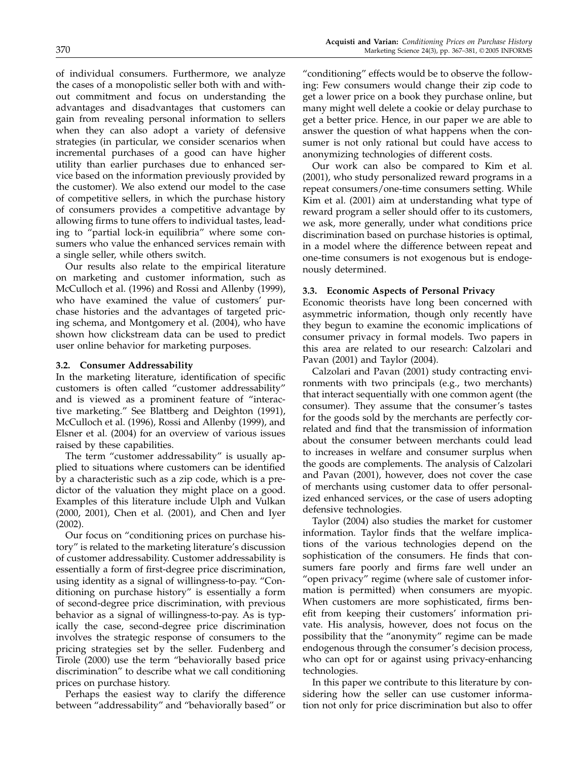of individual consumers. Furthermore, we analyze the cases of a monopolistic seller both with and without commitment and focus on understanding the advantages and disadvantages that customers can gain from revealing personal information to sellers when they can also adopt a variety of defensive strategies (in particular, we consider scenarios when incremental purchases of a good can have higher utility than earlier purchases due to enhanced service based on the information previously provided by the customer). We also extend our model to the case of competitive sellers, in which the purchase history of consumers provides a competitive advantage by allowing firms to tune offers to individual tastes, leading to "partial lock-in equilibria" where some consumers who value the enhanced services remain with a single seller, while others switch.

Our results also relate to the empirical literature on marketing and customer information, such as McCulloch et al. (1996) and Rossi and Allenby (1999), who have examined the value of customers' purchase histories and the advantages of targeted pricing schema, and Montgomery et al. (2004), who have shown how clickstream data can be used to predict user online behavior for marketing purposes.

### 3.2. Consumer Addressability

In the marketing literature, identification of specific customers is often called "customer addressability" and is viewed as a prominent feature of "interactive marketing." See Blattberg and Deighton (1991), McCulloch et al. (1996), Rossi and Allenby (1999), and Elsner et al. (2004) for an overview of various issues raised by these capabilities.

The term "customer addressability" is usually applied to situations where customers can be identified by a characteristic such as a zip code, which is a predictor of the valuation they might place on a good. Examples of this literature include Ulph and Vulkan (2000, 2001), Chen et al. (2001), and Chen and Iyer (2002).

Our focus on "conditioning prices on purchase history" is related to the marketing literature's discussion of customer addressability. Customer addressability is essentially a form of first-degree price discrimination, using identity as a signal of willingness-to-pay. "Conditioning on purchase history" is essentially a form of second-degree price discrimination, with previous behavior as a signal of willingness-to-pay. As is typically the case, second-degree price discrimination involves the strategic response of consumers to the pricing strategies set by the seller. Fudenberg and Tirole (2000) use the term "behaviorally based price discrimination" to describe what we call conditioning prices on purchase history.

Perhaps the easiest way to clarify the difference between "addressability" and "behaviorally based" or

"conditioning" effects would be to observe the following: Few consumers would change their zip code to get a lower price on a book they purchase online, but many might well delete a cookie or delay purchase to get a better price. Hence, in our paper we are able to answer the question of what happens when the consumer is not only rational but could have access to anonymizing technologies of different costs.

Our work can also be compared to Kim et al. (2001), who study personalized reward programs in a repeat consumers/one-time consumers setting. While Kim et al. (2001) aim at understanding what type of reward program a seller should offer to its customers, we ask, more generally, under what conditions price discrimination based on purchase histories is optimal, in a model where the difference between repeat and one-time consumers is not exogenous but is endogenously determined.

## 3.3. Economic Aspects of Personal Privacy

Economic theorists have long been concerned with asymmetric information, though only recently have they begun to examine the economic implications of consumer privacy in formal models. Two papers in this area are related to our research: Calzolari and Pavan (2001) and Taylor (2004).

Calzolari and Pavan (2001) study contracting environments with two principals (e.g., two merchants) that interact sequentially with one common agent (the consumer). They assume that the consumer's tastes for the goods sold by the merchants are perfectly correlated and find that the transmission of information about the consumer between merchants could lead to increases in welfare and consumer surplus when the goods are complements. The analysis of Calzolari and Pavan (2001), however, does not cover the case of merchants using customer data to offer personalized enhanced services, or the case of users adopting defensive technologies.

Taylor (2004) also studies the market for customer information. Taylor finds that the welfare implications of the various technologies depend on the sophistication of the consumers. He finds that consumers fare poorly and firms fare well under an "open privacy" regime (where sale of customer information is permitted) when consumers are myopic. When customers are more sophisticated, firms benefit from keeping their customers' information private. His analysis, however, does not focus on the possibility that the "anonymity" regime can be made endogenous through the consumer's decision process, who can opt for or against using privacy-enhancing technologies.

In this paper we contribute to this literature by considering how the seller can use customer information not only for price discrimination but also to offer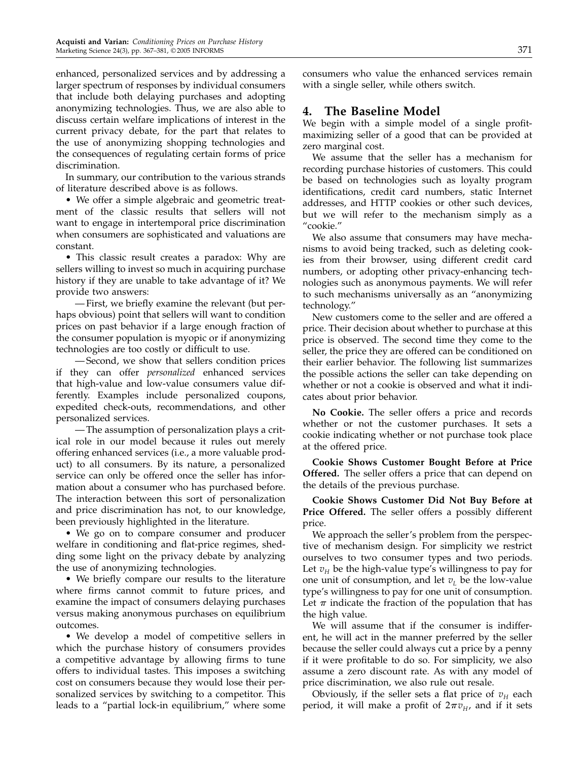enhanced, personalized services and by addressing a larger spectrum of responses by individual consumers that include both delaying purchases and adopting anonymizing technologies. Thus, we are also able to discuss certain welfare implications of interest in the current privacy debate, for the part that relates to the use of anonymizing shopping technologies and the consequences of regulating certain forms of price discrimination.

In summary, our contribution to the various strands of literature described above is as follows.

• We offer a simple algebraic and geometric treatment of the classic results that sellers will not want to engage in intertemporal price discrimination when consumers are sophisticated and valuations are constant.

• This classic result creates a paradox: Why are sellers willing to invest so much in acquiring purchase history if they are unable to take advantage of it? We provide two answers:

— First, we briefly examine the relevant (but perhaps obvious) point that sellers will want to condition prices on past behavior if a large enough fraction of the consumer population is myopic or if anonymizing technologies are too costly or difficult to use.

— Second, we show that sellers condition prices if they can offer personalized enhanced services that high-value and low-value consumers value differently. Examples include personalized coupons, expedited check-outs, recommendations, and other personalized services.

— The assumption of personalization plays a critical role in our model because it rules out merely offering enhanced services (i.e., a more valuable product) to all consumers. By its nature, a personalized service can only be offered once the seller has information about a consumer who has purchased before. The interaction between this sort of personalization and price discrimination has not, to our knowledge, been previously highlighted in the literature.

• We go on to compare consumer and producer welfare in conditioning and flat-price regimes, shedding some light on the privacy debate by analyzing the use of anonymizing technologies.

• We briefly compare our results to the literature where firms cannot commit to future prices, and examine the impact of consumers delaying purchases versus making anonymous purchases on equilibrium outcomes.

• We develop a model of competitive sellers in which the purchase history of consumers provides a competitive advantage by allowing firms to tune offers to individual tastes. This imposes a switching cost on consumers because they would lose their personalized services by switching to a competitor. This leads to a "partial lock-in equilibrium," where some

consumers who value the enhanced services remain with a single seller, while others switch.

# 4. The Baseline Model

We begin with a simple model of a single profitmaximizing seller of a good that can be provided at zero marginal cost.

We assume that the seller has a mechanism for recording purchase histories of customers. This could be based on technologies such as loyalty program identifications, credit card numbers, static Internet addresses, and HTTP cookies or other such devices, but we will refer to the mechanism simply as a "cookie."

We also assume that consumers may have mechanisms to avoid being tracked, such as deleting cookies from their browser, using different credit card numbers, or adopting other privacy-enhancing technologies such as anonymous payments. We will refer to such mechanisms universally as an "anonymizing technology."

New customers come to the seller and are offered a price. Their decision about whether to purchase at this price is observed. The second time they come to the seller, the price they are offered can be conditioned on their earlier behavior. The following list summarizes the possible actions the seller can take depending on whether or not a cookie is observed and what it indicates about prior behavior.

No Cookie. The seller offers a price and records whether or not the customer purchases. It sets a cookie indicating whether or not purchase took place at the offered price.

Cookie Shows Customer Bought Before at Price Offered. The seller offers a price that can depend on the details of the previous purchase.

Cookie Shows Customer Did Not Buy Before at Price Offered. The seller offers a possibly different price.

We approach the seller's problem from the perspective of mechanism design. For simplicity we restrict ourselves to two consumer types and two periods. Let  $v_H$  be the high-value type's willingness to pay for one unit of consumption, and let  $v<sub>L</sub>$  be the low-value type's willingness to pay for one unit of consumption. Let  $\pi$  indicate the fraction of the population that has the high value.

We will assume that if the consumer is indifferent, he will act in the manner preferred by the seller because the seller could always cut a price by a penny if it were profitable to do so. For simplicity, we also assume a zero discount rate. As with any model of price discrimination, we also rule out resale.

Obviously, if the seller sets a flat price of  $v_H$  each period, it will make a profit of  $2\pi v_H$ , and if it sets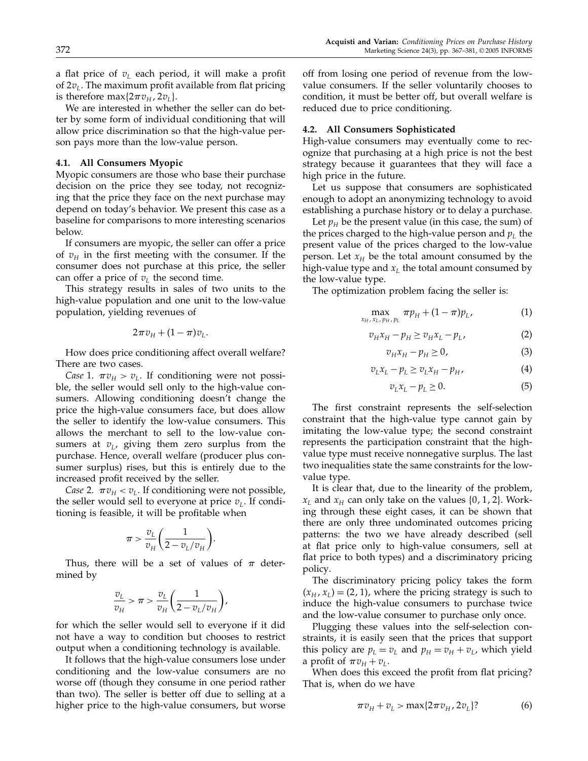a flat price of  $v<sub>L</sub>$  each period, it will make a profit of  $2v_L$ . The maximum profit available from flat pricing is therefore max $\{2\pi v_H, 2v_L\}.$ 

We are interested in whether the seller can do better by some form of individual conditioning that will allow price discrimination so that the high-value person pays more than the low-value person.

#### 4.1. All Consumers Myopic

Myopic consumers are those who base their purchase decision on the price they see today, not recognizing that the price they face on the next purchase may depend on today's behavior. We present this case as a baseline for comparisons to more interesting scenarios below.

If consumers are myopic, the seller can offer a price of  $v_H$  in the first meeting with the consumer. If the consumer does not purchase at this price, the seller can offer a price of  $v<sub>L</sub>$  the second time.

This strategy results in sales of two units to the high-value population and one unit to the low-value population, yielding revenues of

$$
2\pi v_H + (1-\pi)v_L.
$$

How does price conditioning affect overall welfare? There are two cases.

Case 1.  $\pi v_H > v_L$ . If conditioning were not possible, the seller would sell only to the high-value consumers. Allowing conditioning doesn't change the price the high-value consumers face, but does allow the seller to identify the low-value consumers. This allows the merchant to sell to the low-value consumers at  $v_L$ , giving them zero surplus from the purchase. Hence, overall welfare (producer plus consumer surplus) rises, but this is entirely due to the increased profit received by the seller.

Case 2.  $\pi v_H < v_L$ . If conditioning were not possible, the seller would sell to everyone at price  $v<sub>L</sub>$ . If conditioning is feasible, it will be profitable when

$$
\pi > \frac{v_L}{v_H} \bigg( \frac{1}{2 - v_L/v_H} \bigg).
$$

Thus, there will be a set of values of  $\pi$  determined by

$$
\frac{v_L}{v_H} > \pi > \frac{v_L}{v_H} \left( \frac{1}{2 - v_L/v_H} \right),
$$

for which the seller would sell to everyone if it did not have a way to condition but chooses to restrict output when a conditioning technology is available.

It follows that the high-value consumers lose under conditioning and the low-value consumers are no worse off (though they consume in one period rather than two). The seller is better off due to selling at a higher price to the high-value consumers, but worse off from losing one period of revenue from the lowvalue consumers. If the seller voluntarily chooses to condition, it must be better off, but overall welfare is reduced due to price conditioning.

#### 4.2. All Consumers Sophisticated

High-value consumers may eventually come to recognize that purchasing at a high price is not the best strategy because it guarantees that they will face a high price in the future.

Let us suppose that consumers are sophisticated enough to adopt an anonymizing technology to avoid establishing a purchase history or to delay a purchase.

Let  $p_H$  be the present value (in this case, the sum) of the prices charged to the high-value person and  $p<sub>L</sub>$  the present value of the prices charged to the low-value person. Let  $x_H$  be the total amount consumed by the high-value type and  $x_L$  the total amount consumed by the low-value type.

The optimization problem facing the seller is:

$$
\max_{x_H, x_L, p_H, p_L} \pi p_H + (1 - \pi) p_L, \tag{1}
$$

$$
v_H x_H - p_H \ge v_H x_L - p_L, \tag{2}
$$

$$
v_H x_H - p_H \ge 0,\t\t(3)
$$

$$
v_L x_L - p_L \ge v_L x_H - p_H, \tag{4}
$$

$$
v_L x_L - p_L \ge 0. \tag{5}
$$

The first constraint represents the self-selection constraint that the high-value type cannot gain by imitating the low-value type; the second constraint represents the participation constraint that the highvalue type must receive nonnegative surplus. The last two inequalities state the same constraints for the lowvalue type.

It is clear that, due to the linearity of the problem,  $x_L$  and  $x_H$  can only take on the values {0, 1, 2}. Working through these eight cases, it can be shown that there are only three undominated outcomes pricing patterns: the two we have already described (sell at flat price only to high-value consumers, sell at flat price to both types) and a discriminatory pricing policy.

The discriminatory pricing policy takes the form  $(x_H, x_I) = (2, 1)$ , where the pricing strategy is such to induce the high-value consumers to purchase twice and the low-value consumer to purchase only once.

Plugging these values into the self-selection constraints, it is easily seen that the prices that support this policy are  $p_L = v_L$  and  $p_H = v_H + v_L$ , which yield a profit of  $\pi v_H + v_L$ .

When does this exceed the profit from flat pricing? That is, when do we have

$$
\pi v_H + v_L > \max\{2\pi v_H, 2v_L\}?
$$
 (6)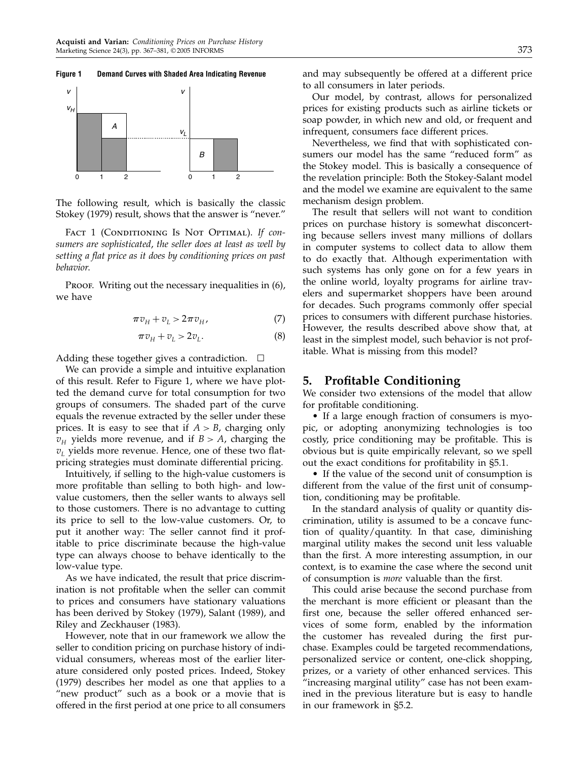Figure 1 Demand Curves with Shaded Area Indicating Revenue



The following result, which is basically the classic Stokey (1979) result, shows that the answer is "never."

FACT 1 (CONDITIONING IS NOT OPTIMAL). If consumers are sophisticated, the seller does at least as well by setting a flat price as it does by conditioning prices on past behavior.

PROOF. Writing out the necessary inequalities in  $(6)$ , we have

$$
\pi v_H + v_L > 2\pi v_H, \tag{7}
$$

$$
\pi v_H + v_L > 2v_L. \tag{8}
$$

Adding these together gives a contradiction.  $\Box$ 

We can provide a simple and intuitive explanation of this result. Refer to Figure 1, where we have plotted the demand curve for total consumption for two groups of consumers. The shaded part of the curve equals the revenue extracted by the seller under these prices. It is easy to see that if  $A > B$ , charging only  $v_H$  yields more revenue, and if  $B > A$ , charging the  $v_L$  yields more revenue. Hence, one of these two flatpricing strategies must dominate differential pricing.

Intuitively, if selling to the high-value customers is more profitable than selling to both high- and lowvalue customers, then the seller wants to always sell to those customers. There is no advantage to cutting its price to sell to the low-value customers. Or, to put it another way: The seller cannot find it profitable to price discriminate because the high-value type can always choose to behave identically to the low-value type.

As we have indicated, the result that price discrimination is not profitable when the seller can commit to prices and consumers have stationary valuations has been derived by Stokey (1979), Salant (1989), and Riley and Zeckhauser (1983).

However, note that in our framework we allow the seller to condition pricing on purchase history of individual consumers, whereas most of the earlier literature considered only posted prices. Indeed, Stokey (1979) describes her model as one that applies to a "new product" such as a book or a movie that is offered in the first period at one price to all consumers and may subsequently be offered at a different price to all consumers in later periods.

Our model, by contrast, allows for personalized prices for existing products such as airline tickets or soap powder, in which new and old, or frequent and infrequent, consumers face different prices.

Nevertheless, we find that with sophisticated consumers our model has the same "reduced form" as the Stokey model. This is basically a consequence of the revelation principle: Both the Stokey-Salant model and the model we examine are equivalent to the same mechanism design problem.

The result that sellers will not want to condition prices on purchase history is somewhat disconcerting because sellers invest many millions of dollars in computer systems to collect data to allow them to do exactly that. Although experimentation with such systems has only gone on for a few years in the online world, loyalty programs for airline travelers and supermarket shoppers have been around for decades. Such programs commonly offer special prices to consumers with different purchase histories. However, the results described above show that, at least in the simplest model, such behavior is not profitable. What is missing from this model?

#### 5. Profitable Conditioning

We consider two extensions of the model that allow for profitable conditioning.

• If a large enough fraction of consumers is myopic, or adopting anonymizing technologies is too costly, price conditioning may be profitable. This is obvious but is quite empirically relevant, so we spell out the exact conditions for profitability in §5.1.

• If the value of the second unit of consumption is different from the value of the first unit of consumption, conditioning may be profitable.

In the standard analysis of quality or quantity discrimination, utility is assumed to be a concave function of quality/quantity. In that case, diminishing marginal utility makes the second unit less valuable than the first. A more interesting assumption, in our context, is to examine the case where the second unit of consumption is more valuable than the first.

This could arise because the second purchase from the merchant is more efficient or pleasant than the first one, because the seller offered enhanced services of some form, enabled by the information the customer has revealed during the first purchase. Examples could be targeted recommendations, personalized service or content, one-click shopping, prizes, or a variety of other enhanced services. This "increasing marginal utility" case has not been examined in the previous literature but is easy to handle in our framework in §5.2.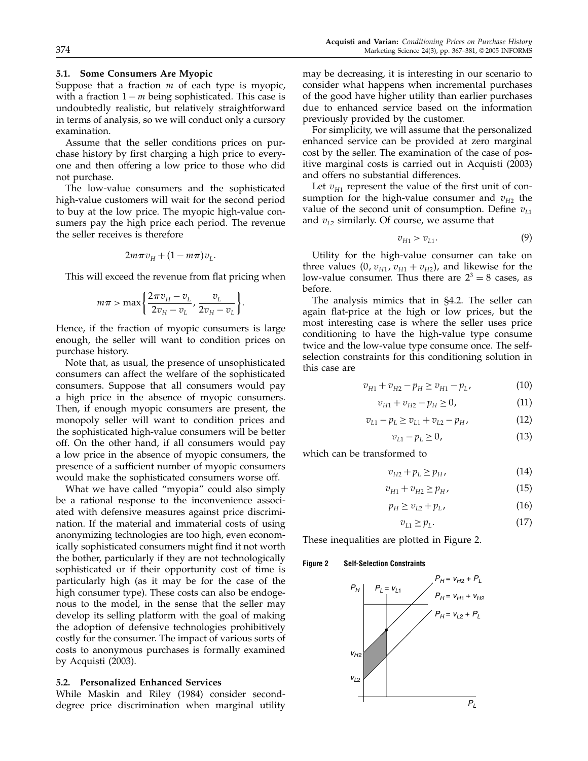### 5.1. Some Consumers Are Myopic

Suppose that a fraction  $m$  of each type is myopic, with a fraction  $1 - m$  being sophisticated. This case is undoubtedly realistic, but relatively straightforward in terms of analysis, so we will conduct only a cursory examination.

Assume that the seller conditions prices on purchase history by first charging a high price to everyone and then offering a low price to those who did not purchase.

The low-value consumers and the sophisticated high-value customers will wait for the second period to buy at the low price. The myopic high-value consumers pay the high price each period. The revenue the seller receives is therefore

$$
2m\pi v_H + (1 - m\pi)v_L.
$$

This will exceed the revenue from flat pricing when

$$
m\pi > \max\left\{\frac{2\pi v_H - v_L}{2v_H - v_L}, \frac{v_L}{2v_H - v_L}\right\}.
$$

Hence, if the fraction of myopic consumers is large enough, the seller will want to condition prices on purchase history.

Note that, as usual, the presence of unsophisticated consumers can affect the welfare of the sophisticated consumers. Suppose that all consumers would pay a high price in the absence of myopic consumers. Then, if enough myopic consumers are present, the monopoly seller will want to condition prices and the sophisticated high-value consumers will be better off. On the other hand, if all consumers would pay a low price in the absence of myopic consumers, the presence of a sufficient number of myopic consumers would make the sophisticated consumers worse off.

What we have called "myopia" could also simply be a rational response to the inconvenience associated with defensive measures against price discrimination. If the material and immaterial costs of using anonymizing technologies are too high, even economically sophisticated consumers might find it not worth the bother, particularly if they are not technologically sophisticated or if their opportunity cost of time is particularly high (as it may be for the case of the high consumer type). These costs can also be endogenous to the model, in the sense that the seller may develop its selling platform with the goal of making the adoption of defensive technologies prohibitively costly for the consumer. The impact of various sorts of costs to anonymous purchases is formally examined by Acquisti (2003).

#### 5.2. Personalized Enhanced Services

While Maskin and Riley (1984) consider seconddegree price discrimination when marginal utility may be decreasing, it is interesting in our scenario to consider what happens when incremental purchases of the good have higher utility than earlier purchases due to enhanced service based on the information previously provided by the customer.

For simplicity, we will assume that the personalized enhanced service can be provided at zero marginal cost by the seller. The examination of the case of positive marginal costs is carried out in Acquisti (2003) and offers no substantial differences.

Let  $v_{H1}$  represent the value of the first unit of consumption for the high-value consumer and  $v_{H2}$  the value of the second unit of consumption. Define  $v_{11}$ and  $v_{L2}$  similarly. Of course, we assume that

$$
v_{H1} > v_{L1}.\tag{9}
$$

Utility for the high-value consumer can take on three values  $(0, v_{H1}, v_{H1} + v_{H2})$ , and likewise for the low-value consumer. Thus there are  $2^3 = 8$  cases, as before.

The analysis mimics that in §4.2. The seller can again flat-price at the high or low prices, but the most interesting case is where the seller uses price conditioning to have the high-value type consume twice and the low-value type consume once. The selfselection constraints for this conditioning solution in this case are

$$
v_{H1} + v_{H2} - p_H \ge v_{H1} - p_L, \tag{10}
$$

$$
v_{H1} + v_{H2} - p_H \ge 0, \tag{11}
$$

$$
v_{L1} - p_L \ge v_{L1} + v_{L2} - p_H, \tag{12}
$$

$$
v_{L1} - p_L \ge 0,
$$
\n(13)

which can be transformed to

$$
v_{H2} + p_L \ge p_H, \tag{14}
$$

$$
v_{H1} + v_{H2} \ge p_H, \tag{15}
$$

$$
p_H \ge v_{L2} + p_L, \tag{16}
$$

$$
v_{L1} \ge p_L. \tag{17}
$$

These inequalities are plotted in Figure 2.

#### Figure 2 Self-Selection Constraints

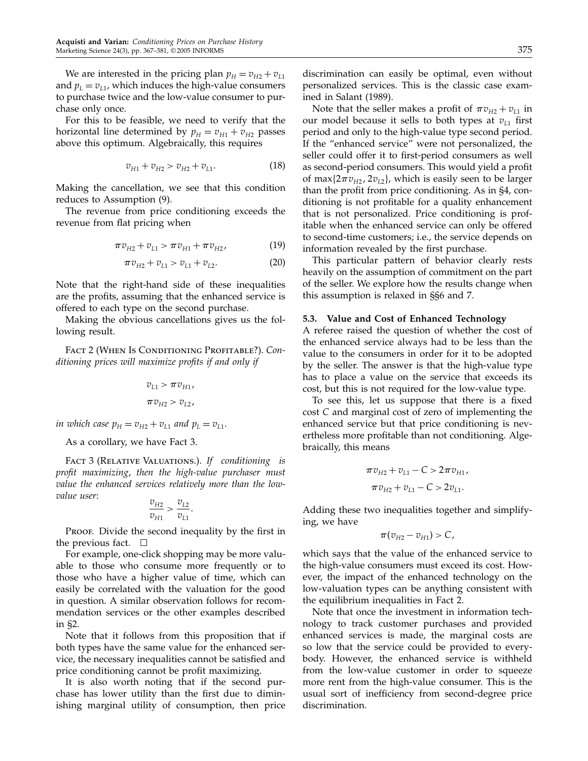We are interested in the pricing plan  $p_H = v_{H2} + v_{L1}$ and  $p_L = v_{L1}$ , which induces the high-value consumers to purchase twice and the low-value consumer to purchase only once.

For this to be feasible, we need to verify that the horizontal line determined by  $p_H = v_{H1} + v_{H2}$  passes above this optimum. Algebraically, this requires

$$
v_{H1} + v_{H2} > v_{H2} + v_{L1}.
$$
 (18)

Making the cancellation, we see that this condition reduces to Assumption (9).

The revenue from price conditioning exceeds the revenue from flat pricing when

$$
\pi v_{H2} + v_{L1} > \pi v_{H1} + \pi v_{H2}, \qquad (19)
$$

$$
\pi v_{H2} + v_{L1} > v_{L1} + v_{L2}.
$$
 (20)

Note that the right-hand side of these inequalities are the profits, assuming that the enhanced service is offered to each type on the second purchase.

Making the obvious cancellations gives us the following result.

FACT 2 (WHEN Is CONDITIONING PROFITABLE?). Conditioning prices will maximize profits if and only if

$$
\label{eq:u_l} \begin{aligned} v_{L1} > \pi v_{H1}, \\ \pi v_{H2} > v_{L2}, \end{aligned}
$$

in which case  $p_H = v_{H2} + v_{L1}$  and  $p_L = v_{L1}$ .

As a corollary, we have Fact 3.

FACT 3 (RELATIVE VALUATIONS.). If conditioning is profit maximizing, then the high-value purchaser must value the enhanced services relatively more than the lowvalue user:

$$
\frac{v_{H2}}{v_{H1}} > \frac{v_{L2}}{v_{L1}}.
$$

Proof. Divide the second inequality by the first in the previous fact.  $\square$ 

For example, one-click shopping may be more valuable to those who consume more frequently or to those who have a higher value of time, which can easily be correlated with the valuation for the good in question. A similar observation follows for recommendation services or the other examples described in §2.

Note that it follows from this proposition that if both types have the same value for the enhanced service, the necessary inequalities cannot be satisfied and price conditioning cannot be profit maximizing.

It is also worth noting that if the second purchase has lower utility than the first due to diminishing marginal utility of consumption, then price discrimination can easily be optimal, even without personalized services. This is the classic case examined in Salant (1989).

Note that the seller makes a profit of  $\pi v_{H2} + v_{L1}$  in our model because it sells to both types at  $v_{L1}$  first period and only to the high-value type second period. If the "enhanced service" were not personalized, the seller could offer it to first-period consumers as well as second-period consumers. This would yield a profit of max $\{2\pi v_{H2}, 2v_{L2}\}\$ , which is easily seen to be larger than the profit from price conditioning. As in §4, conditioning is not profitable for a quality enhancement that is not personalized. Price conditioning is profitable when the enhanced service can only be offered to second-time customers; i.e., the service depends on information revealed by the first purchase.

This particular pattern of behavior clearly rests heavily on the assumption of commitment on the part of the seller. We explore how the results change when this assumption is relaxed in §§6 and 7.

#### 5.3. Value and Cost of Enhanced Technology

A referee raised the question of whether the cost of the enhanced service always had to be less than the value to the consumers in order for it to be adopted by the seller. The answer is that the high-value type has to place a value on the service that exceeds its cost, but this is not required for the low-value type.

To see this, let us suppose that there is a fixed cost C and marginal cost of zero of implementing the enhanced service but that price conditioning is nevertheless more profitable than not conditioning. Algebraically, this means

$$
\pi v_{H2} + v_{L1} - C > 2\pi v_{H1},
$$

$$
\pi v_{H2} + v_{L1} - C > 2v_{L1}.
$$

Adding these two inequalities together and simplifying, we have

$$
\pi(v_{H2}-v_{H1})>C,
$$

which says that the value of the enhanced service to the high-value consumers must exceed its cost. However, the impact of the enhanced technology on the low-valuation types can be anything consistent with the equilibrium inequalities in Fact 2.

Note that once the investment in information technology to track customer purchases and provided enhanced services is made, the marginal costs are so low that the service could be provided to everybody. However, the enhanced service is withheld from the low-value customer in order to squeeze more rent from the high-value consumer. This is the usual sort of inefficiency from second-degree price discrimination.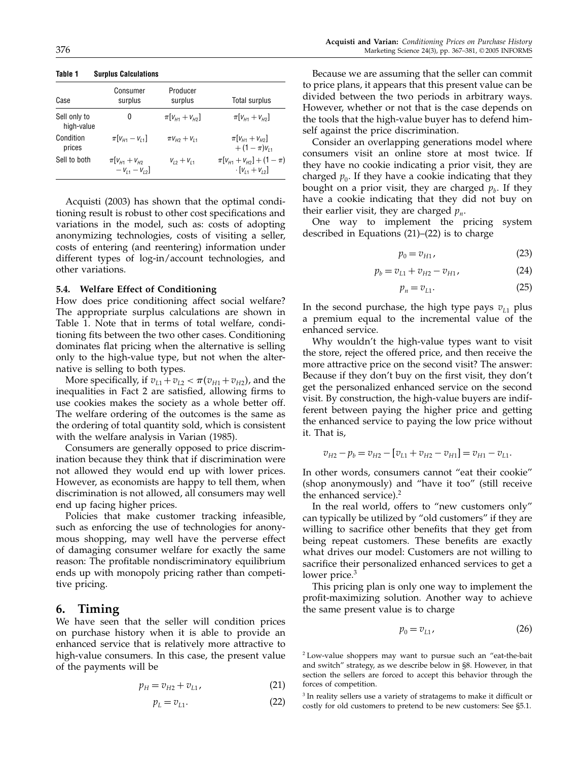| Table 1 |  | <b>Surplus Calculations</b> |
|---------|--|-----------------------------|
|---------|--|-----------------------------|

| Case                       | Consumer<br>surplus                           | Producer<br>surplus    | Total surplus                                                    |
|----------------------------|-----------------------------------------------|------------------------|------------------------------------------------------------------|
| Sell only to<br>high-value | 0                                             | $\pi[V_{H1} + V_{H2}]$ | $\pi[V_{H1} + V_{H2}]$                                           |
| Condition<br>prices        | $\pi[V_{H1} - V_{H1}]$                        | $\pi V_{H2} + V_{11}$  | $\pi[V_{H1} + V_{H2}]$<br>$+(1-\pi)V_{11}$                       |
| Sell to both               | $\pi$ [ $V_{H1} + V_{H2}$<br>$-V_{11}-V_{12}$ | $V_{12} + V_{11}$      | $\pi [V_{H1} + V_{H2}] + (1 - \pi)$<br>$\cdot [V_{11} + V_{12}]$ |

Acquisti (2003) has shown that the optimal conditioning result is robust to other cost specifications and variations in the model, such as: costs of adopting anonymizing technologies, costs of visiting a seller, costs of entering (and reentering) information under different types of log-in/account technologies, and other variations.

#### 5.4. Welfare Effect of Conditioning

How does price conditioning affect social welfare? The appropriate surplus calculations are shown in Table 1. Note that in terms of total welfare, conditioning fits between the two other cases. Conditioning dominates flat pricing when the alternative is selling only to the high-value type, but not when the alternative is selling to both types.

More specifically, if  $v_{L1} + v_{L2} < \pi (v_{H1} + v_{H2})$ , and the inequalities in Fact 2 are satisfied, allowing firms to use cookies makes the society as a whole better off. The welfare ordering of the outcomes is the same as the ordering of total quantity sold, which is consistent with the welfare analysis in Varian (1985).

Consumers are generally opposed to price discrimination because they think that if discrimination were not allowed they would end up with lower prices. However, as economists are happy to tell them, when discrimination is not allowed, all consumers may well end up facing higher prices.

Policies that make customer tracking infeasible, such as enforcing the use of technologies for anonymous shopping, may well have the perverse effect of damaging consumer welfare for exactly the same reason: The profitable nondiscriminatory equilibrium ends up with monopoly pricing rather than competitive pricing.

#### 6. Timing

We have seen that the seller will condition prices on purchase history when it is able to provide an enhanced service that is relatively more attractive to high-value consumers. In this case, the present value of the payments will be

$$
p_H = v_{H2} + v_{L1}, \t\t(21)
$$

$$
p_L = v_{L1}.\tag{22}
$$

Because we are assuming that the seller can commit to price plans, it appears that this present value can be divided between the two periods in arbitrary ways. However, whether or not that is the case depends on the tools that the high-value buyer has to defend himself against the price discrimination.

Consider an overlapping generations model where consumers visit an online store at most twice. If they have no cookie indicating a prior visit, they are charged  $p_0$ . If they have a cookie indicating that they bought on a prior visit, they are charged  $p_b$ . If they have a cookie indicating that they did not buy on their earlier visit, they are charged  $p_n$ .

One way to implement the pricing system described in Equations (21)–(22) is to charge

$$
p_0 = v_{H1},\tag{23}
$$

$$
p_b = v_{L1} + v_{H2} - v_{H1}, \t\t(24)
$$

$$
p_n = v_{L1}.\tag{25}
$$

In the second purchase, the high type pays  $v_{L1}$  plus a premium equal to the incremental value of the enhanced service.

Why wouldn't the high-value types want to visit the store, reject the offered price, and then receive the more attractive price on the second visit? The answer: Because if they don't buy on the first visit, they don't get the personalized enhanced service on the second visit. By construction, the high-value buyers are indifferent between paying the higher price and getting the enhanced service to paying the low price without it. That is,

$$
v_{H2} - p_b = v_{H2} - [v_{L1} + v_{H2} - v_{H1}] = v_{H1} - v_{L1}.
$$

In other words, consumers cannot "eat their cookie" (shop anonymously) and "have it too" (still receive the enhanced service). $2$ 

In the real world, offers to "new customers only" can typically be utilized by "old customers" if they are willing to sacrifice other benefits that they get from being repeat customers. These benefits are exactly what drives our model: Customers are not willing to sacrifice their personalized enhanced services to get a lower price.<sup>3</sup>

This pricing plan is only one way to implement the profit-maximizing solution. Another way to achieve the same present value is to charge

$$
p_0 = v_{L1},\tag{26}
$$

<sup>2</sup> Low-value shoppers may want to pursue such an "eat-the-bait and switch" strategy, as we describe below in §8. However, in that section the sellers are forced to accept this behavior through the forces of competition.

<sup>3</sup> In reality sellers use a variety of stratagems to make it difficult or costly for old customers to pretend to be new customers: See §5.1.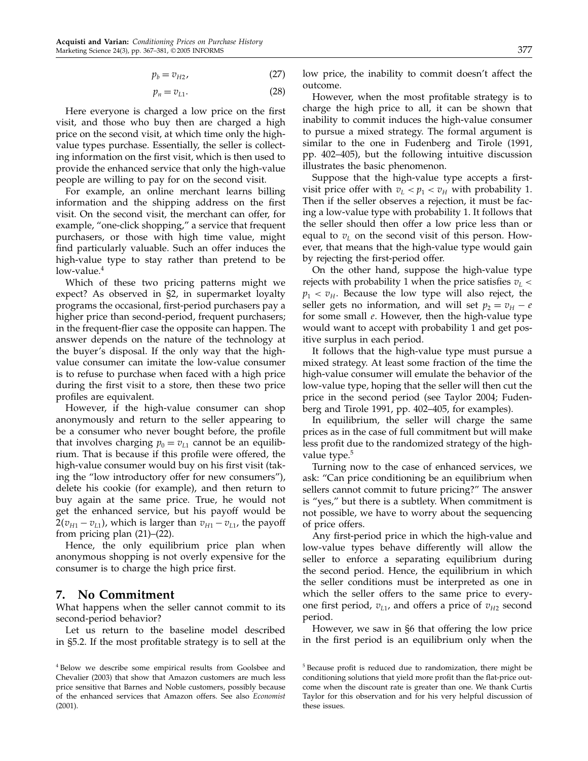$$
p_b = v_{H2},\tag{27}
$$

$$
p_n = v_{L1}.\tag{28}
$$

Here everyone is charged a low price on the first visit, and those who buy then are charged a high price on the second visit, at which time only the highvalue types purchase. Essentially, the seller is collecting information on the first visit, which is then used to provide the enhanced service that only the high-value people are willing to pay for on the second visit.

For example, an online merchant learns billing information and the shipping address on the first visit. On the second visit, the merchant can offer, for example, "one-click shopping," a service that frequent purchasers, or those with high time value, might find particularly valuable. Such an offer induces the high-value type to stay rather than pretend to be low-value.<sup>4</sup>

Which of these two pricing patterns might we expect? As observed in §2, in supermarket loyalty programs the occasional, first-period purchasers pay a higher price than second-period, frequent purchasers; in the frequent-flier case the opposite can happen. The answer depends on the nature of the technology at the buyer's disposal. If the only way that the highvalue consumer can imitate the low-value consumer is to refuse to purchase when faced with a high price during the first visit to a store, then these two price profiles are equivalent.

However, if the high-value consumer can shop anonymously and return to the seller appearing to be a consumer who never bought before, the profile that involves charging  $p_0 = v_{L1}$  cannot be an equilibrium. That is because if this profile were offered, the high-value consumer would buy on his first visit (taking the "low introductory offer for new consumers"), delete his cookie (for example), and then return to buy again at the same price. True, he would not get the enhanced service, but his payoff would be  $2(v_{H1} - v_{L1})$ , which is larger than  $v_{H1} - v_{L1}$ , the payoff from pricing plan (21)–(22).

Hence, the only equilibrium price plan when anonymous shopping is not overly expensive for the consumer is to charge the high price first.

# 7. No Commitment

What happens when the seller cannot commit to its second-period behavior?

Let us return to the baseline model described in §5.2. If the most profitable strategy is to sell at the low price, the inability to commit doesn't affect the outcome.

However, when the most profitable strategy is to charge the high price to all, it can be shown that inability to commit induces the high-value consumer to pursue a mixed strategy. The formal argument is similar to the one in Fudenberg and Tirole (1991, pp. 402–405), but the following intuitive discussion illustrates the basic phenomenon.

Suppose that the high-value type accepts a firstvisit price offer with  $v_L < p_1 < v_H$  with probability 1. Then if the seller observes a rejection, it must be facing a low-value type with probability 1. It follows that the seller should then offer a low price less than or equal to  $v<sub>L</sub>$  on the second visit of this person. However, that means that the high-value type would gain by rejecting the first-period offer.

On the other hand, suppose the high-value type rejects with probability 1 when the price satisfies  $v_L$  <  $p_1 < v_H$ . Because the low type will also reject, the seller gets no information, and will set  $p_2 = v_H - e$ for some small e. However, then the high-value type would want to accept with probability 1 and get positive surplus in each period.

It follows that the high-value type must pursue a mixed strategy. At least some fraction of the time the high-value consumer will emulate the behavior of the low-value type, hoping that the seller will then cut the price in the second period (see Taylor 2004; Fudenberg and Tirole 1991, pp. 402–405, for examples).

In equilibrium, the seller will charge the same prices as in the case of full commitment but will make less profit due to the randomized strategy of the highvalue type.<sup>5</sup>

Turning now to the case of enhanced services, we ask: "Can price conditioning be an equilibrium when sellers cannot commit to future pricing?" The answer is "yes," but there is a subtlety. When commitment is not possible, we have to worry about the sequencing of price offers.

Any first-period price in which the high-value and low-value types behave differently will allow the seller to enforce a separating equilibrium during the second period. Hence, the equilibrium in which the seller conditions must be interpreted as one in which the seller offers to the same price to everyone first period,  $v_{L1}$ , and offers a price of  $v_{H2}$  second period.

However, we saw in §6 that offering the low price in the first period is an equilibrium only when the

<sup>4</sup> Below we describe some empirical results from Goolsbee and Chevalier (2003) that show that Amazon customers are much less price sensitive that Barnes and Noble customers, possibly because of the enhanced services that Amazon offers. See also Economist (2001).

<sup>5</sup> Because profit is reduced due to randomization, there might be conditioning solutions that yield more profit than the flat-price outcome when the discount rate is greater than one. We thank Curtis Taylor for this observation and for his very helpful discussion of these issues.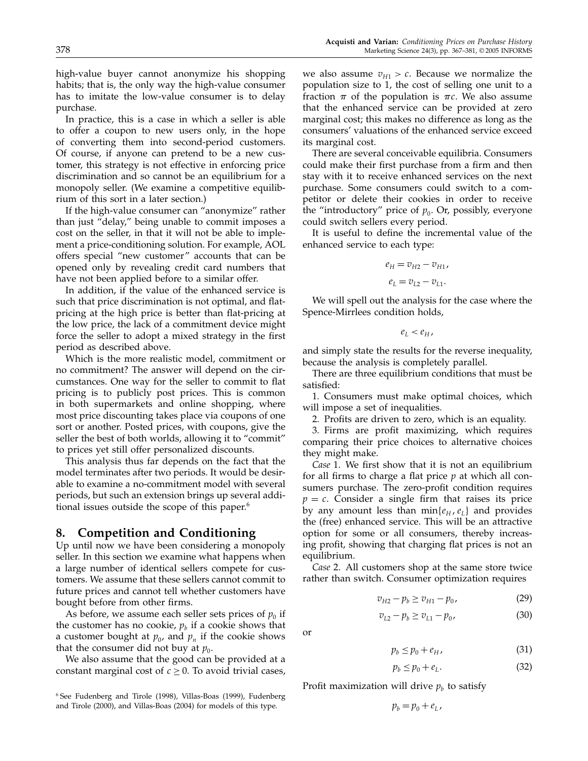high-value buyer cannot anonymize his shopping habits; that is, the only way the high-value consumer has to imitate the low-value consumer is to delay purchase.

In practice, this is a case in which a seller is able to offer a coupon to new users only, in the hope of converting them into second-period customers. Of course, if anyone can pretend to be a new customer, this strategy is not effective in enforcing price discrimination and so cannot be an equilibrium for a monopoly seller. (We examine a competitive equilibrium of this sort in a later section.)

If the high-value consumer can "anonymize" rather than just "delay," being unable to commit imposes a cost on the seller, in that it will not be able to implement a price-conditioning solution. For example, AOL offers special "new customer" accounts that can be opened only by revealing credit card numbers that have not been applied before to a similar offer.

In addition, if the value of the enhanced service is such that price discrimination is not optimal, and flatpricing at the high price is better than flat-pricing at the low price, the lack of a commitment device might force the seller to adopt a mixed strategy in the first period as described above.

Which is the more realistic model, commitment or no commitment? The answer will depend on the circumstances. One way for the seller to commit to flat pricing is to publicly post prices. This is common in both supermarkets and online shopping, where most price discounting takes place via coupons of one sort or another. Posted prices, with coupons, give the seller the best of both worlds, allowing it to "commit" to prices yet still offer personalized discounts.

This analysis thus far depends on the fact that the model terminates after two periods. It would be desirable to examine a no-commitment model with several periods, but such an extension brings up several additional issues outside the scope of this paper.<sup>6</sup>

## 8. Competition and Conditioning

Up until now we have been considering a monopoly seller. In this section we examine what happens when a large number of identical sellers compete for customers. We assume that these sellers cannot commit to future prices and cannot tell whether customers have bought before from other firms.

As before, we assume each seller sets prices of  $p_0$  if the customer has no cookie,  $p<sub>b</sub>$  if a cookie shows that a customer bought at  $p_0$ , and  $p_n$  if the cookie shows that the consumer did not buy at  $p_0$ .

We also assume that the good can be provided at a constant marginal cost of  $c \geq 0$ . To avoid trivial cases,

we also assume  $v_{H1} > c$ . Because we normalize the population size to 1, the cost of selling one unit to a fraction  $\pi$  of the population is  $\pi c$ . We also assume that the enhanced service can be provided at zero marginal cost; this makes no difference as long as the consumers' valuations of the enhanced service exceed its marginal cost.

There are several conceivable equilibria. Consumers could make their first purchase from a firm and then stay with it to receive enhanced services on the next purchase. Some consumers could switch to a competitor or delete their cookies in order to receive the "introductory" price of  $p_0$ . Or, possibly, everyone could switch sellers every period.

It is useful to define the incremental value of the enhanced service to each type:

$$
e_H = v_{H2} - v_{H1},
$$
  

$$
e_L = v_{L2} - v_{L1}.
$$

We will spell out the analysis for the case where the Spence-Mirrlees condition holds,

$$
e_L < e_H,
$$

and simply state the results for the reverse inequality, because the analysis is completely parallel.

There are three equilibrium conditions that must be satisfied:

1. Consumers must make optimal choices, which will impose a set of inequalities.

2. Profits are driven to zero, which is an equality.

3. Firms are profit maximizing, which requires comparing their price choices to alternative choices they might make.

Case 1. We first show that it is not an equilibrium for all firms to charge a flat price  $p$  at which all consumers purchase. The zero-profit condition requires  $p = c$ . Consider a single firm that raises its price by any amount less than  $min\{e_H, e_L\}$  and provides the (free) enhanced service. This will be an attractive option for some or all consumers, thereby increasing profit, showing that charging flat prices is not an equilibrium.

Case 2. All customers shop at the same store twice rather than switch. Consumer optimization requires

$$
v_{H2} - p_b \ge v_{H1} - p_0,\tag{29}
$$

$$
v_{L2} - p_b \ge v_{L1} - p_0,\tag{30}
$$

or

$$
p_b \le p_0 + e_H, \tag{31}
$$

$$
p_b \le p_0 + e_L. \tag{32}
$$

Profit maximization will drive  $p<sub>b</sub>$  to satisfy

$$
p_b = p_0 + e_L,
$$

<sup>6</sup> See Fudenberg and Tirole (1998), Villas-Boas (1999), Fudenberg and Tirole (2000), and Villas-Boas (2004) for models of this type.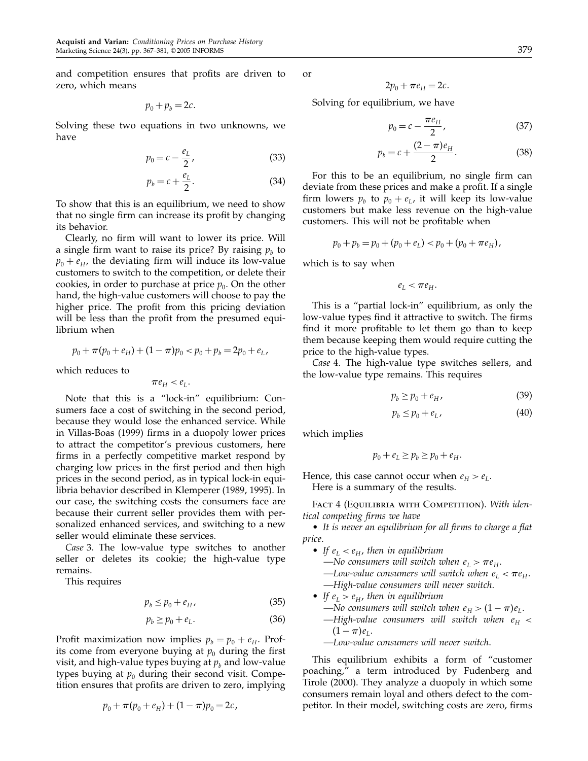and competition ensures that profits are driven to zero, which means

$$
p_0+p_b=2c.
$$

Solving these two equations in two unknowns, we have

$$
p_0 = c - \frac{e_L}{2},\tag{33}
$$

$$
p_b = c + \frac{e_L}{2}.\tag{34}
$$

To show that this is an equilibrium, we need to show that no single firm can increase its profit by changing its behavior.

Clearly, no firm will want to lower its price. Will a single firm want to raise its price? By raising  $p<sub>b</sub>$  to  $p_0 + e_H$ , the deviating firm will induce its low-value customers to switch to the competition, or delete their cookies, in order to purchase at price  $p_0$ . On the other hand, the high-value customers will choose to pay the higher price. The profit from this pricing deviation will be less than the profit from the presumed equilibrium when

$$
p_0 + \pi (p_0 + e_H) + (1 - \pi) p_0 < p_0 + p_b = 2p_0 + e_L,
$$

which reduces to

 $\pi e_H < e_L$ .

Note that this is a "lock-in" equilibrium: Consumers face a cost of switching in the second period, because they would lose the enhanced service. While in Villas-Boas (1999) firms in a duopoly lower prices to attract the competitor's previous customers, here firms in a perfectly competitive market respond by charging low prices in the first period and then high prices in the second period, as in typical lock-in equilibria behavior described in Klemperer (1989, 1995). In our case, the switching costs the consumers face are because their current seller provides them with personalized enhanced services, and switching to a new seller would eliminate these services.

Case 3. The low-value type switches to another seller or deletes its cookie; the high-value type remains.

This requires

$$
p_b \le p_0 + e_H, \tag{35}
$$

$$
p_b \ge p_0 + e_L. \tag{36}
$$

Profit maximization now implies  $p_b = p_0 + e_H$ . Profits come from everyone buying at  $p_0$  during the first visit, and high-value types buying at  $p_b$  and low-value types buying at  $p_0$  during their second visit. Competition ensures that profits are driven to zero, implying

$$
p_0 + \pi (p_0 + e_H) + (1 - \pi) p_0 = 2c,
$$

or

$$
2p_0 + \pi e_H = 2c.
$$

Solving for equilibrium, we have

$$
p_0 = c - \frac{\pi e_H}{2},\tag{37}
$$

$$
p_b = c + \frac{(2 - \pi)e_H}{2}.
$$
 (38)

For this to be an equilibrium, no single firm can deviate from these prices and make a profit. If a single firm lowers  $p_b$  to  $p_0 + e_L$ , it will keep its low-value customers but make less revenue on the high-value customers. This will not be profitable when

$$
p_0 + p_b = p_0 + (p_0 + e_L) < p_0 + (p_0 + \pi e_H),
$$

which is to say when

$$
e_L<\pi e_H.
$$

This is a "partial lock-in" equilibrium, as only the low-value types find it attractive to switch. The firms find it more profitable to let them go than to keep them because keeping them would require cutting the price to the high-value types.

Case 4. The high-value type switches sellers, and the low-value type remains. This requires

$$
p_b \ge p_0 + e_H, \tag{39}
$$

$$
p_b \le p_0 + e_L,\tag{40}
$$

which implies

$$
p_0 + e_L \ge p_b \ge p_0 + e_H.
$$

Hence, this case cannot occur when  $e_H > e_L$ . Here is a summary of the results.

FACT 4 (EQUILIBRIA WITH COMPETITION). With identical competing firms we have

• It is never an equilibrium for all firms to charge a flat price.

• If  $e_L < e_H$ , then in equilibrium —No consumers will switch when  $e_L > \pi e_H$ . —Low-value consumers will switch when  $e_L < \pi e_H$ . —High-value consumers will never switch. • If  $e_L > e_H$ , then in equilibrium —No consumers will switch when  $e_H > (1 - \pi)e_L$ . —High-value consumers will switch when  $e_H <$  $(1 - \pi)e_L$ . —Low-value consumers will never switch.

This equilibrium exhibits a form of "customer poaching," a term introduced by Fudenberg and Tirole (2000). They analyze a duopoly in which some consumers remain loyal and others defect to the competitor. In their model, switching costs are zero, firms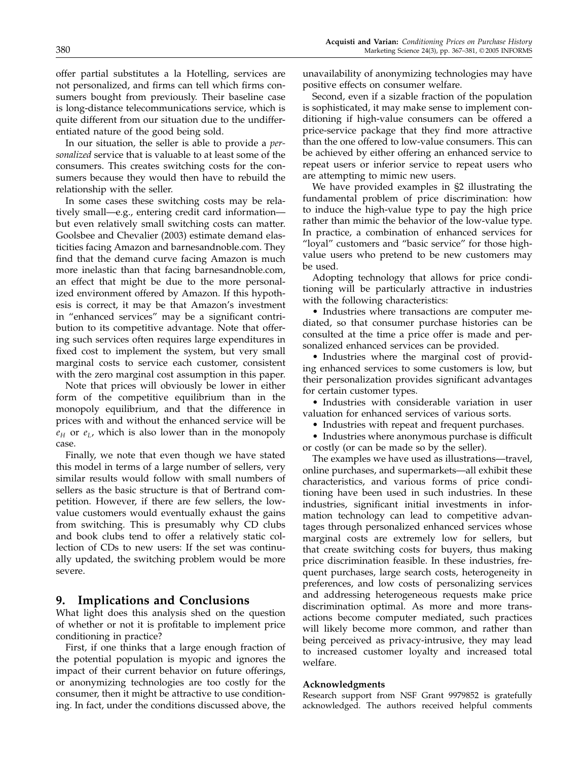offer partial substitutes a la Hotelling, services are not personalized, and firms can tell which firms consumers bought from previously. Their baseline case is long-distance telecommunications service, which is quite different from our situation due to the undifferentiated nature of the good being sold.

In our situation, the seller is able to provide a personalized service that is valuable to at least some of the consumers. This creates switching costs for the consumers because they would then have to rebuild the relationship with the seller.

In some cases these switching costs may be relatively small—e.g., entering credit card information but even relatively small switching costs can matter. Goolsbee and Chevalier (2003) estimate demand elasticities facing Amazon and barnesandnoble.com. They find that the demand curve facing Amazon is much more inelastic than that facing barnesandnoble.com, an effect that might be due to the more personalized environment offered by Amazon. If this hypothesis is correct, it may be that Amazon's investment in "enhanced services" may be a significant contribution to its competitive advantage. Note that offering such services often requires large expenditures in fixed cost to implement the system, but very small marginal costs to service each customer, consistent with the zero marginal cost assumption in this paper.

Note that prices will obviously be lower in either form of the competitive equilibrium than in the monopoly equilibrium, and that the difference in prices with and without the enhanced service will be  $e_H$  or  $e_L$ , which is also lower than in the monopoly case.

Finally, we note that even though we have stated this model in terms of a large number of sellers, very similar results would follow with small numbers of sellers as the basic structure is that of Bertrand competition. However, if there are few sellers, the lowvalue customers would eventually exhaust the gains from switching. This is presumably why CD clubs and book clubs tend to offer a relatively static collection of CDs to new users: If the set was continually updated, the switching problem would be more severe.

# 9. Implications and Conclusions

What light does this analysis shed on the question of whether or not it is profitable to implement price conditioning in practice?

First, if one thinks that a large enough fraction of the potential population is myopic and ignores the impact of their current behavior on future offerings, or anonymizing technologies are too costly for the consumer, then it might be attractive to use conditioning. In fact, under the conditions discussed above, the

unavailability of anonymizing technologies may have positive effects on consumer welfare.

Second, even if a sizable fraction of the population is sophisticated, it may make sense to implement conditioning if high-value consumers can be offered a price-service package that they find more attractive than the one offered to low-value consumers. This can be achieved by either offering an enhanced service to repeat users or inferior service to repeat users who are attempting to mimic new users.

We have provided examples in §2 illustrating the fundamental problem of price discrimination: how to induce the high-value type to pay the high price rather than mimic the behavior of the low-value type. In practice, a combination of enhanced services for "loyal" customers and "basic service" for those highvalue users who pretend to be new customers may be used.

Adopting technology that allows for price conditioning will be particularly attractive in industries with the following characteristics:

• Industries where transactions are computer mediated, so that consumer purchase histories can be consulted at the time a price offer is made and personalized enhanced services can be provided.

• Industries where the marginal cost of providing enhanced services to some customers is low, but their personalization provides significant advantages for certain customer types.

• Industries with considerable variation in user valuation for enhanced services of various sorts.

• Industries with repeat and frequent purchases.

• Industries where anonymous purchase is difficult or costly (or can be made so by the seller).

The examples we have used as illustrations—travel, online purchases, and supermarkets—all exhibit these characteristics, and various forms of price conditioning have been used in such industries. In these industries, significant initial investments in information technology can lead to competitive advantages through personalized enhanced services whose marginal costs are extremely low for sellers, but that create switching costs for buyers, thus making price discrimination feasible. In these industries, frequent purchases, large search costs, heterogeneity in preferences, and low costs of personalizing services and addressing heterogeneous requests make price discrimination optimal. As more and more transactions become computer mediated, such practices will likely become more common, and rather than being perceived as privacy-intrusive, they may lead to increased customer loyalty and increased total welfare.

## Acknowledgments

Research support from NSF Grant 9979852 is gratefully acknowledged. The authors received helpful comments